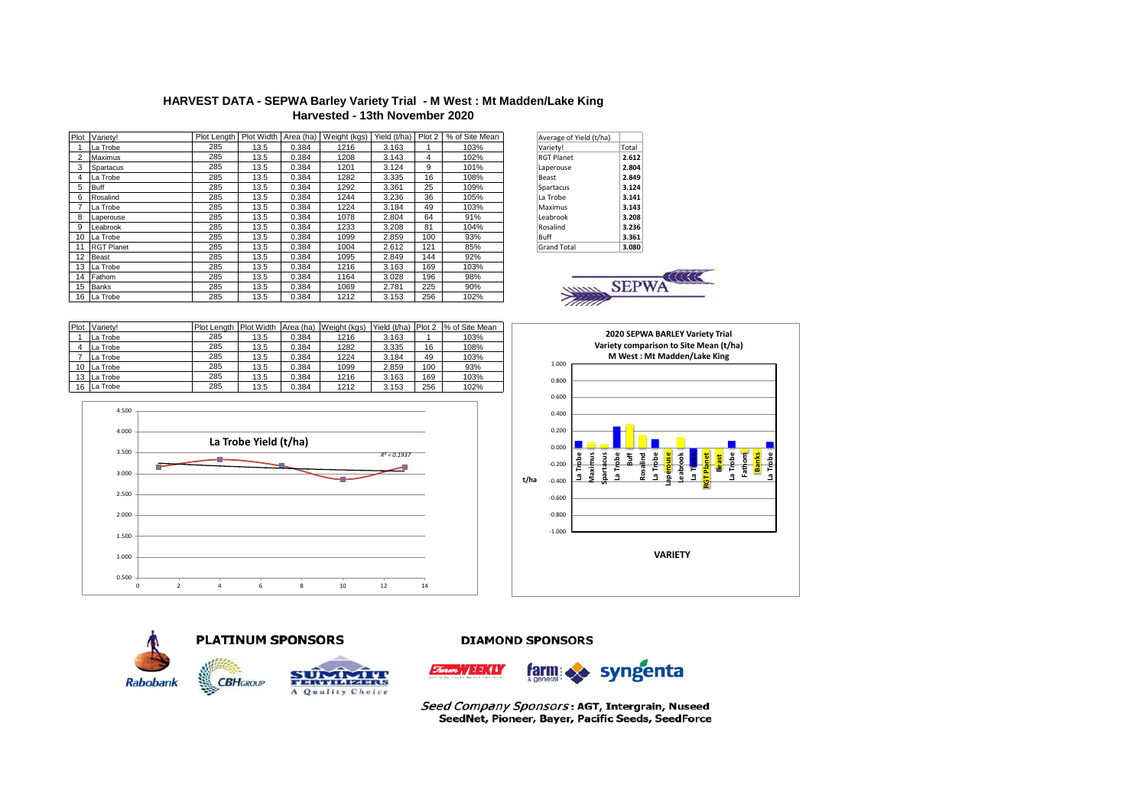## **HARVEST DATA - SEPWA Barley Variety Trial - M West : Mt Madden/Lake King Harvested - 13th November 2020**

| Plot | Varietv!          |     |      |       | Plot Length   Plot Width   Area (ha)   Weight (kgs) | Yield (t/ha) | Plot 2 | % of Site Mean | Average of Yield (t/ha) |            |
|------|-------------------|-----|------|-------|-----------------------------------------------------|--------------|--------|----------------|-------------------------|------------|
|      | La Trobe          | 285 | 13.5 | 0.384 | 1216                                                | 3.163        |        | 103%           | Variety!                | Total      |
|      | Maximus           | 285 | 13.5 | 0.384 | 1208                                                | 3.143        | 4      | 102%           | <b>RGT Planet</b>       | 2.612      |
|      | Spartacus         | 285 | 13.5 | 0.384 | 1201                                                | 3.124        | 9      | 101%           | Laperouse               | 2.804      |
|      | La Trobe          | 285 | 13.5 | 0.384 | 1282                                                | 3.335        | 16     | 108%           | Beast                   | 2.849      |
| 5    | <b>Buff</b>       | 285 | 13.5 | 0.384 | 1292                                                | 3.361        | 25     | 109%           | Spartacus               | 3.124      |
| 6    | Rosalind          | 285 | 13.5 | 0.384 | 1244                                                | 3.236        | 36     | 105%           | La Trobe                | 3.141      |
|      | La Trobe          | 285 | 13.5 | 0.384 | 1224                                                | 3.184        | 49     | 103%           | Maximus                 | 3.143      |
| 8    | Laperouse         | 285 | 13.5 | 0.384 | 1078                                                | 2.804        | 64     | 91%            | Leabrook                | 3.208      |
| 9    | Leabrook          | 285 | 13.5 | 0.384 | 1233                                                | 3.208        | 81     | 104%           | Rosalind                | 3.236      |
|      | 10 La Trobe       | 285 | 13.5 | 0.384 | 1099                                                | 2.859        | 100    | 93%            | Buff                    | 3.361      |
|      | <b>RGT Planet</b> | 285 | 13.5 | 0.384 | 1004                                                | 2.612        | 121    | 85%            | <b>Grand Total</b>      | 3.080      |
| 12   | Beast             | 285 | 13.5 | 0.384 | 1095                                                | 2.849        | 144    | 92%            |                         |            |
|      | 13 La Trobe       | 285 | 13.5 | 0.384 | 1216                                                | 3.163        | 169    | 103%           |                         |            |
|      | 14 Fathom         | 285 | 13.5 | 0.384 | 1164                                                | 3.028        | 196    | 98%            |                         |            |
|      | 15 Banks          | 285 | 13.5 | 0.384 | 1069                                                | 2.781        | 225    | 90%            | amm                     | <b>SEP</b> |
|      | 16 La Trobe       | 285 | 13.5 | 0.384 | 1212                                                | 3.153        | 256    | 102%           | Tiinii                  |            |

| Average of Yield (t/ha) |       |
|-------------------------|-------|
| Variety!                | Total |
| <b>RGT Planet</b>       | 2.612 |
| Laperouse               | 2.804 |
| <b>Beast</b>            | 2.849 |
| Spartacus               | 3.124 |
| La Trobe                | 3.141 |
| Maximus                 | 3.143 |
| Leabrook                | 3.208 |
| Rosalind                | 3.236 |
| Buff                    | 3.361 |
| <b>Grand Total</b>      | 3.080 |



| Plot | Varietv!    | Plot Length Plot Width Area (ha) |      |       | Weight (kgs) | Yield (t/ha) | Plot <sub>2</sub> | % of Site Mean |
|------|-------------|----------------------------------|------|-------|--------------|--------------|-------------------|----------------|
|      | La Trobe    | 285                              | 13.5 | 0.384 | 1216         | 3.163        |                   | 103%           |
|      | La Trobe    | 285                              | 13.5 | 0.384 | 1282         | 3.335        | 16                | 108%           |
|      | La Trobe    | 285                              | 13.5 | 0.384 | 1224         | 3.184        | 49                | 103%           |
|      | 10 La Trobe | 285                              | 13.5 | 0.384 | 1099         | 2.859        | 100               | 93%            |
|      | 13 La Trobe | 285                              | 13.5 | 0.384 | 1216         | 3.163        | 169               | 103%           |
|      | 16 La Trobe | 285                              | 13.5 | 0.384 | 1212         | 3.153        | 256               | 102%           |









 $\overline{y}$  , a range A Quality Choice

**CBH**GROUP

**DIAMOND SPONSORS** 



Seed Company Sponsors: AGT, Intergrain, Nuseed SeedNet, Pioneer, Bayer, Pacific Seeds, SeedForce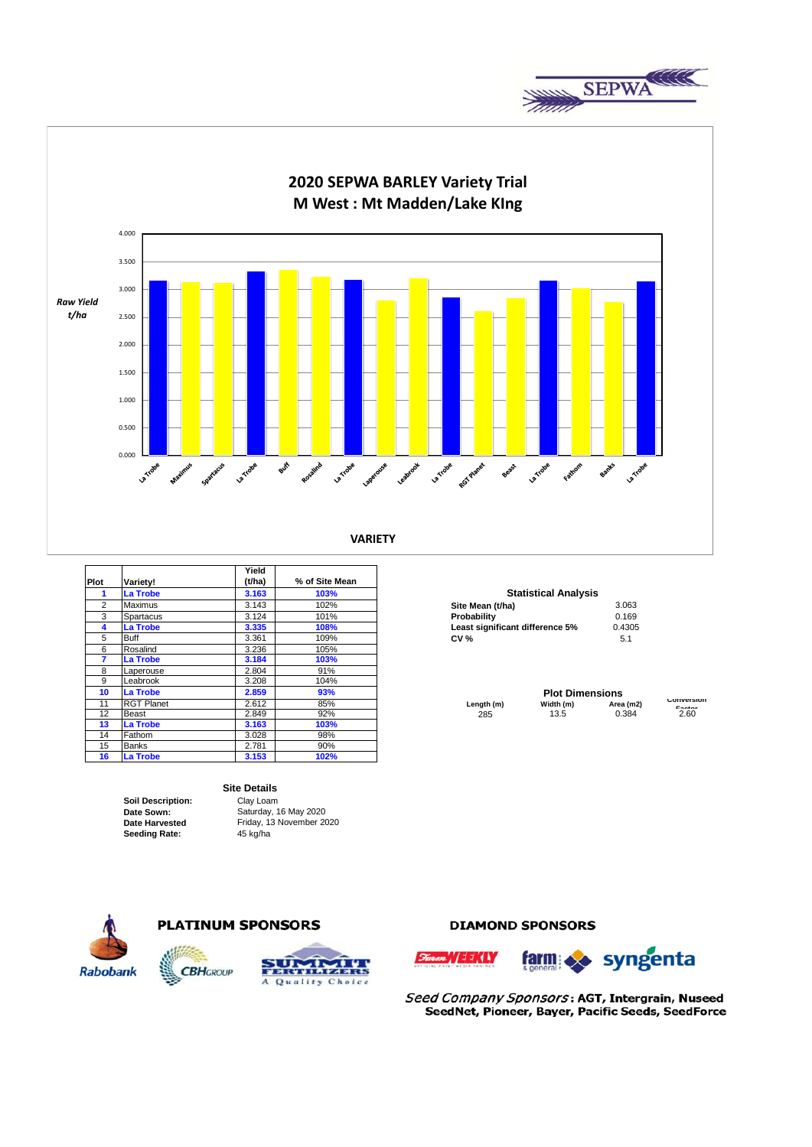



|                |                   | Yield  |                |                                 |           |                      |
|----------------|-------------------|--------|----------------|---------------------------------|-----------|----------------------|
| Plot           | Variety!          | (t/ha) | % of Site Mean |                                 |           |                      |
| 1              | <b>La Trobe</b>   | 3.163  | 103%           | <b>Statistical Analysis</b>     |           |                      |
| $\overline{2}$ | <b>Maximus</b>    | 3.143  | 102%           | Site Mean (t/ha)                | 3.063     |                      |
| 3              | Spartacus         | 3.124  | 101%           | Probability                     | 0.169     |                      |
| 4              | <b>La Trobe</b>   | 3.335  | 108%           | Least significant difference 5% | 0.4305    |                      |
| 5              | Buff              | 3.361  | 109%           | <b>CV %</b>                     | 5.1       |                      |
| 6              | Rosalind          | 3.236  | 105%           |                                 |           |                      |
|                | La Trobe          | 3.184  | 103%           |                                 |           |                      |
| 8              | Laperouse         | 2.804  | 91%            |                                 |           |                      |
| 9              | Leabrook          | 3.208  | 104%           |                                 |           |                      |
| 10             | <b>La Trobe</b>   | 2.859  | 93%            | <b>Plot Dimensions</b>          |           |                      |
| 11             | <b>RGT Planet</b> | 2.612  | 85%            | Length (m)<br>Width (m)         | Area (m2) | CONVERSION<br>Pastas |
| 12             | <b>Beast</b>      | 2.849  | 92%            | 13.5<br>285                     | 0.384     | 2.60                 |
| 13             | La Trobe          | 3.163  | 103%           |                                 |           |                      |
| 14             | Fathom            | 3.028  | 98%            |                                 |           |                      |
| 15             | <b>Banks</b>      | 2.781  | 90%            |                                 |           |                      |
| 16             | <b>La Trobe</b>   | 3.153  | 102%           |                                 |           |                      |

## **Site Details**

**Soil Description:** Clay Loam **Date Sown: Date Harvested Seeding Rate:** 45 kg/ha

Saturday, 16 May 2020 Friday, 13 November 2020

A Quality Choice

### **Statistical Analysis**

| Site Mean (t/ha)                | 3.063  |
|---------------------------------|--------|
| Probability                     | 0.169  |
| Least significant difference 5% | 0.4305 |
| <b>CV %</b>                     | 5.1    |

# **Rabobank**



**CBHGROUP** 

# **DIAMOND SPONSORS**





Seed Company Sponsors: AGT, Intergrain, Nuseed SeedNet, Pioneer, Bayer, Pacific Seeds, SeedForce